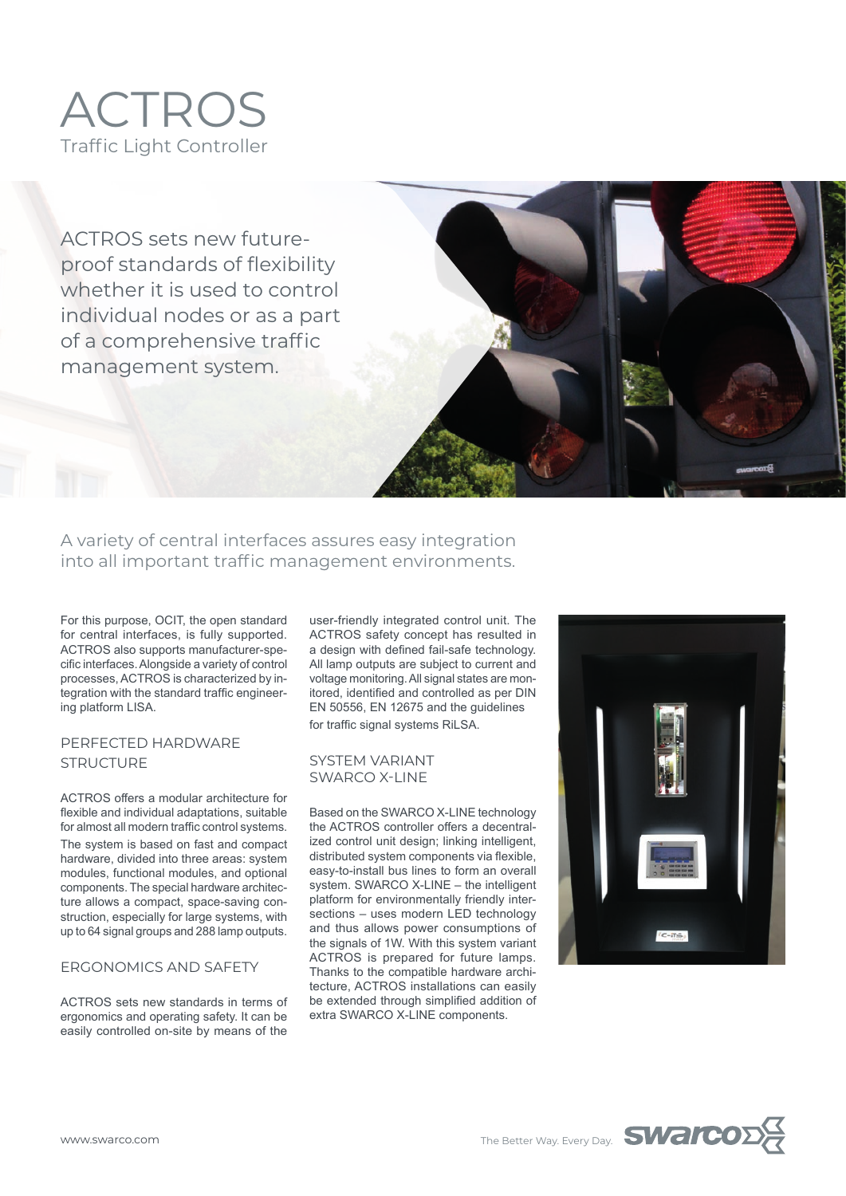

ACTROS sets new futureproof standards of flexibility whether it is used to control individual nodes or as a part of a comprehensive traffic management system.

A variety of central interfaces assures easy integration into all important traffic management environments.

For this purpose, OCIT, the open standard for central interfaces, is fully supported. ACTROS also supports manufacturer-specific interfaces. Alongside a variety of control processes, ACTROS is characterized by integration with the standard traffic engineering platform LISA.

## PERFECTED HARDWARE **STRUCTURE**

ACTROS offers a modular architecture for flexible and individual adaptations, suitable for almost all modern traffic control systems. The system is based on fast and compact hardware, divided into three areas: system modules, functional modules, and optional components. The special hardware architecture allows a compact, space-saving construction, especially for large systems, with up to 64 signal groups and 288 lamp outputs.

## ERGONOMICS AND SAFETY

ACTROS sets new standards in terms of ergonomics and operating safety. It can be easily controlled on-site by means of the

user-friendly integrated control unit. The ACTROS safety concept has resulted in a design with defined fail-safe technology. All lamp outputs are subject to current and voltage monitoring. All signal states are monitored, identified and controlled as per DIN EN 50556, EN 12675 and the guidelines for traffic signal systems RiLSA.

## SYSTEM VARIANT SWARCO X-LINE

Based on the SWARCO X-LINE technology the ACTROS controller offers a decentralized control unit design; linking intelligent, distributed system components via flexible, easy-to-install bus lines to form an overall system. SWARCO X-LINE – the intelligent platform for environmentally friendly intersections – uses modern LED technology and thus allows power consumptions of the signals of 1W. With this system variant ACTROS is prepared for future lamps. Thanks to the compatible hardware architecture, ACTROS installations can easily be extended through simplified addition of extra SWARCO X-LINE components.